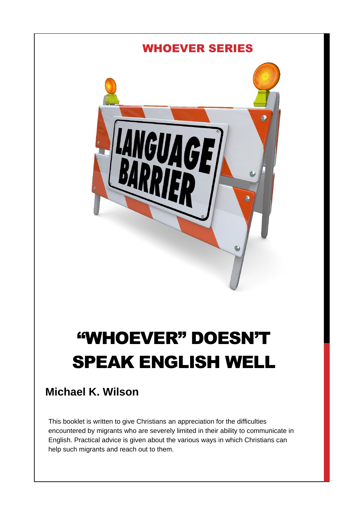

# "WHOEVER" DOESN'T SPEAK ENGLISH WELL

# **Michael K. Wilson**

This booklet is written to give Christians an appreciation for the difficulties encountered by migrants who are severely limited in their ability to communicate in English. Practical advice is given about the various ways in which Christians can help such migrants and reach out to them.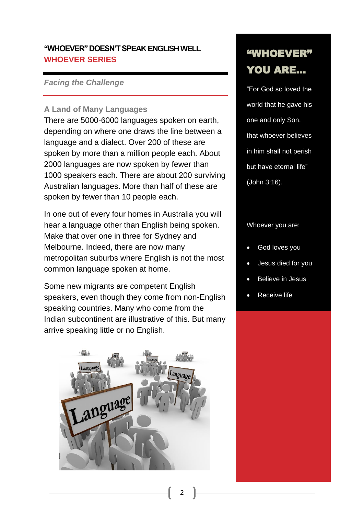## **"WHOEVER" DOESN'T SPEAK ENGLISH WELL WHOEVER SERIES**

#### *Facing the Challenge*

#### **A Land of Many Languages**

There are 5000-6000 languages spoken on earth, depending on where one draws the line between a language and a dialect. Over 200 of these are spoken by more than a million people each. About 2000 languages are now spoken by fewer than 1000 speakers each. There are about 200 surviving Australian languages. More than half of these are spoken by fewer than 10 people each.

In one out of every four homes in Australia you will hear a language other than English being spoken. Make that over one in three for Sydney and Melbourne. Indeed, there are now many metropolitan suburbs where English is not the most common language spoken at home.

Some new migrants are competent English speakers, even though they come from non-English speaking countries. Many who come from the Indian subcontinent are illustrative of this. But many arrive speaking little or no English.



# "WHOEVER" YOU ARE…

"For God so loved the world that he gave his one and only Son, that whoever believes in him shall not perish but have eternal life" (John 3:16).

Whoever you are:

- God loves you
- Jesus died for you
- Believe in Jesus
- Receive life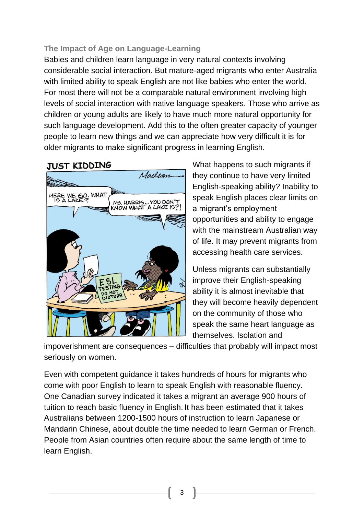## **The Impact of Age on Language-Learning**

Babies and children learn language in very natural contexts involving considerable social interaction. But mature-aged migrants who enter Australia with limited ability to speak English are not like babies who enter the world. For most there will not be a comparable natural environment involving high levels of social interaction with native language speakers. Those who arrive as children or young adults are likely to have much more natural opportunity for such language development. Add this to the often greater capacity of younger people to learn new things and we can appreciate how very difficult it is for older migrants to make significant progress in learning English.

## **JUST KIDDING**



What happens to such migrants if they continue to have very limited English-speaking ability? Inability to speak English places clear limits on a migrant's employment opportunities and ability to engage with the mainstream Australian way of life. It may prevent migrants from accessing health care services.

Unless migrants can substantially improve their English-speaking ability it is almost inevitable that they will become heavily dependent on the community of those who speak the same heart language as themselves. Isolation and

impoverishment are consequences – difficulties that probably will impact most seriously on women.

Even with competent guidance it takes hundreds of hours for migrants who come with poor English to learn to speak English with reasonable fluency. One Canadian survey indicated it takes a migrant an average 900 hours of tuition to reach basic fluency in English. It has been estimated that it takes Australians between 1200-1500 hours of instruction to learn Japanese or Mandarin Chinese, about double the time needed to learn German or French. People from Asian countries often require about the same length of time to learn English.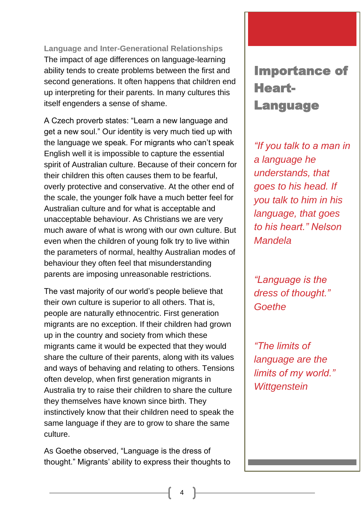**Language and Inter-Generational Relationships** The impact of age differences on language-learning ability tends to create problems between the first and second generations. It often happens that children end up interpreting for their parents. In many cultures this itself engenders a sense of shame.

A Czech proverb states: "Learn a new language and get a new soul." Our identity is very much tied up with the language we speak. For migrants who can't speak English well it is impossible to capture the essential spirit of Australian culture. Because of their concern for their children this often causes them to be fearful, overly protective and conservative. At the other end of the scale, the younger folk have a much better feel for Australian culture and for what is acceptable and unacceptable behaviour. As Christians we are very much aware of what is wrong with our own culture. But even when the children of young folk try to live within the parameters of normal, healthy Australian modes of behaviour they often feel that misunderstanding parents are imposing unreasonable restrictions.

The vast majority of our world's people believe that their own culture is superior to all others. That is, people are naturally ethnocentric. First generation migrants are no exception. If their children had grown up in the country and society from which these migrants came it would be expected that they would share the culture of their parents, along with its values and ways of behaving and relating to others. Tensions often develop, when first generation migrants in Australia try to raise their children to share the culture they themselves have known since birth. They instinctively know that their children need to speak the same language if they are to grow to share the same culture.

As Goethe observed, "Language is the dress of thought." Migrants' ability to express their thoughts to

# Importance of Heart-Language

*"If you talk to a man in a language he understands, that goes to his head. If you talk to him in his language, that goes to his heart." Nelson Mandela*

*"Language is the dress of thought." Goethe*

*"The limits of language are the limits of my world." Wittgenstein*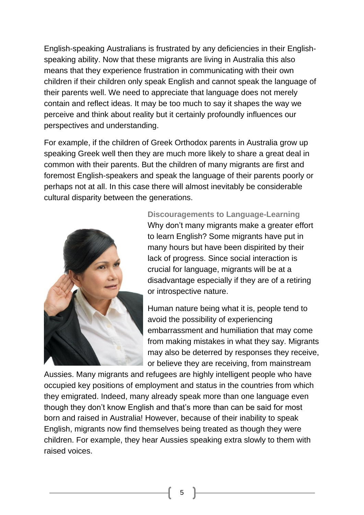English-speaking Australians is frustrated by any deficiencies in their Englishspeaking ability. Now that these migrants are living in Australia this also means that they experience frustration in communicating with their own children if their children only speak English and cannot speak the language of their parents well. We need to appreciate that language does not merely contain and reflect ideas. It may be too much to say it shapes the way we perceive and think about reality but it certainly profoundly influences our perspectives and understanding.

For example, if the children of Greek Orthodox parents in Australia grow up speaking Greek well then they are much more likely to share a great deal in common with their parents. But the children of many migrants are first and foremost English-speakers and speak the language of their parents poorly or perhaps not at all. In this case there will almost inevitably be considerable cultural disparity between the generations.



**Discouragements to Language-Learning** Why don't many migrants make a greater effort to learn English? Some migrants have put in many hours but have been dispirited by their lack of progress. Since social interaction is crucial for language, migrants will be at a disadvantage especially if they are of a retiring or introspective nature.

Human nature being what it is, people tend to avoid the possibility of experiencing embarrassment and humiliation that may come from making mistakes in what they say. Migrants may also be deterred by responses they receive, or believe they are receiving, from mainstream

Aussies. Many migrants and refugees are highly intelligent people who have occupied key positions of employment and status in the countries from which they emigrated. Indeed, many already speak more than one language even though they don't know English and that's more than can be said for most born and raised in Australia! However, because of their inability to speak English, migrants now find themselves being treated as though they were children. For example, they hear Aussies speaking extra slowly to them with raised voices.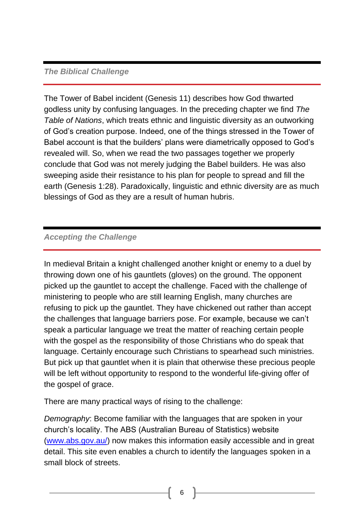#### *The Biblical Challenge*

The Tower of Babel incident (Genesis 11) describes how God thwarted godless unity by confusing languages. In the preceding chapter we find *The Table of Nations*, which treats ethnic and linguistic diversity as an outworking of God's creation purpose. Indeed, one of the things stressed in the Tower of Babel account is that the builders' plans were diametrically opposed to God's revealed will. So, when we read the two passages together we properly conclude that God was not merely judging the Babel builders. He was also sweeping aside their resistance to his plan for people to spread and fill the earth (Genesis 1:28). Paradoxically, linguistic and ethnic diversity are as much blessings of God as they are a result of human hubris.

## *Accepting the Challenge*

In medieval Britain a knight challenged another knight or enemy to a duel by throwing down one of his gauntlets (gloves) on the ground. The opponent picked up the gauntlet to accept the challenge. Faced with the challenge of ministering to people who are still learning English, many churches are refusing to pick up the gauntlet. They have chickened out rather than accept the challenges that language barriers pose. For example, because we can't speak a particular language we treat the matter of reaching certain people with the gospel as the responsibility of those Christians who do speak that language. Certainly encourage such Christians to spearhead such ministries. But pick up that gauntlet when it is plain that otherwise these precious people will be left without opportunity to respond to the wonderful life-giving offer of the gospel of grace.

There are many practical ways of rising to the challenge:

*Demography*: Become familiar with the languages that are spoken in your church's locality. The ABS (Australian Bureau of Statistics) website [\(www.abs.gov.au/\)](http://www.abs.gov.au/) now makes this information easily accessible and in great detail. This site even enables a church to identify the languages spoken in a small block of streets.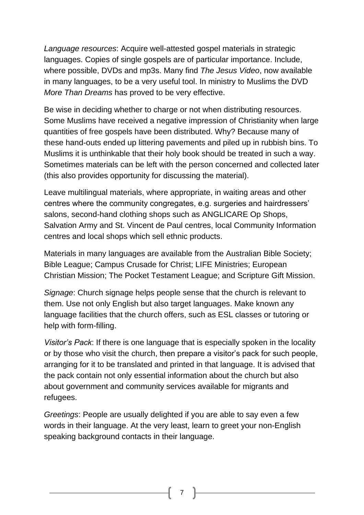*Language resources*: Acquire well-attested gospel materials in strategic languages. Copies of single gospels are of particular importance. Include, where possible, DVDs and mp3s. Many find *The Jesus Video*, now available in many languages, to be a very useful tool. In ministry to Muslims the DVD *More Than Dreams* has proved to be very effective.

Be wise in deciding whether to charge or not when distributing resources. Some Muslims have received a negative impression of Christianity when large quantities of free gospels have been distributed. Why? Because many of these hand-outs ended up littering pavements and piled up in rubbish bins. To Muslims it is unthinkable that their holy book should be treated in such a way. Sometimes materials can be left with the person concerned and collected later (this also provides opportunity for discussing the material).

Leave multilingual materials, where appropriate, in waiting areas and other centres where the community congregates, e.g. surgeries and hairdressers' salons, second-hand clothing shops such as ANGLICARE Op Shops, Salvation Army and St. Vincent de Paul centres, local Community Information centres and local shops which sell ethnic products.

Materials in many languages are available from the Australian Bible Society; Bible League; Campus Crusade for Christ; LIFE Ministries; European Christian Mission; The Pocket Testament League; and Scripture Gift Mission.

*Signage*: Church signage helps people sense that the church is relevant to them. Use not only English but also target languages. Make known any language facilities that the church offers, such as ESL classes or tutoring or help with form-filling.

*Visitor's Pack*: If there is one language that is especially spoken in the locality or by those who visit the church, then prepare a visitor's pack for such people, arranging for it to be translated and printed in that language. It is advised that the pack contain not only essential information about the church but also about government and community services available for migrants and refugees.

*Greetings*: People are usually delighted if you are able to say even a few words in their language. At the very least, learn to greet your non-English speaking background contacts in their language.

7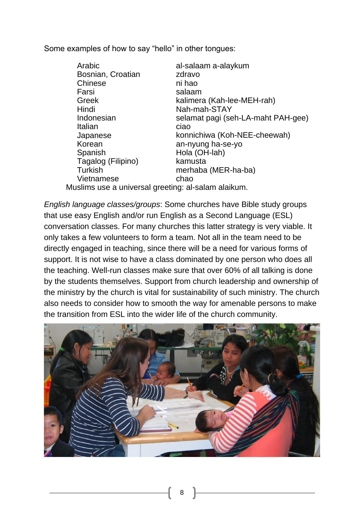Some examples of how to say "hello" in other tongues:

| Arabic                                              | al-salaam a-alaykum                |
|-----------------------------------------------------|------------------------------------|
| Bosnian, Croatian                                   | zdravo                             |
| Chinese                                             | ni hao                             |
| Farsi                                               | salaam                             |
| Greek                                               | kalimera (Kah-lee-MEH-rah)         |
| Hindi                                               | Nah-mah-STAY                       |
| Indonesian                                          | selamat pagi (seh-LA-maht PAH-gee) |
| Italian                                             | ciao                               |
| Japanese                                            | konnichiwa (Koh-NEE-cheewah)       |
| Korean                                              | an-nyung ha-se-yo                  |
| Spanish                                             | Hola (OH-lah)                      |
| Tagalog (Filipino)                                  | kamusta                            |
| <b>Turkish</b>                                      | merhaba (MER-ha-ba)                |
| Vietnamese                                          | chao                               |
| Muslims use a universal greeting: al-salam alaikum. |                                    |

*English language classes/groups*: Some churches have Bible study groups that use easy English and/or run English as a Second Language (ESL) conversation classes. For many churches this latter strategy is very viable. It only takes a few volunteers to form a team. Not all in the team need to be directly engaged in teaching, since there will be a need for various forms of support. It is not wise to have a class dominated by one person who does all the teaching. Well-run classes make sure that over 60% of all talking is done by the students themselves. Support from church leadership and ownership of the ministry by the church is vital for sustainability of such ministry. The church also needs to consider how to smooth the way for amenable persons to make the transition from ESL into the wider life of the church community.

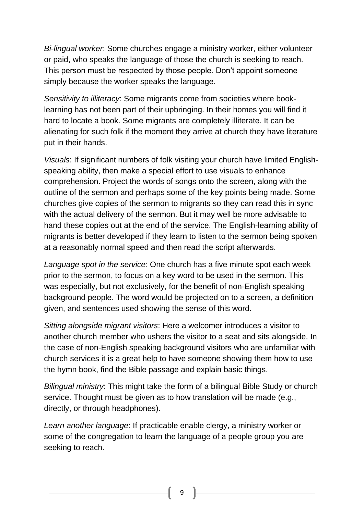*Bi-lingual worker*: Some churches engage a ministry worker, either volunteer or paid, who speaks the language of those the church is seeking to reach. This person must be respected by those people. Don't appoint someone simply because the worker speaks the language.

*Sensitivity to illiteracy*: Some migrants come from societies where booklearning has not been part of their upbringing. In their homes you will find it hard to locate a book. Some migrants are completely illiterate. It can be alienating for such folk if the moment they arrive at church they have literature put in their hands.

*Visuals*: If significant numbers of folk visiting your church have limited Englishspeaking ability, then make a special effort to use visuals to enhance comprehension. Project the words of songs onto the screen, along with the outline of the sermon and perhaps some of the key points being made. Some churches give copies of the sermon to migrants so they can read this in sync with the actual delivery of the sermon. But it may well be more advisable to hand these copies out at the end of the service. The English-learning ability of migrants is better developed if they learn to listen to the sermon being spoken at a reasonably normal speed and then read the script afterwards.

*Language spot in the service*: One church has a five minute spot each week prior to the sermon, to focus on a key word to be used in the sermon. This was especially, but not exclusively, for the benefit of non-English speaking background people. The word would be projected on to a screen, a definition given, and sentences used showing the sense of this word.

*Sitting alongside migrant visitors*: Here a welcomer introduces a visitor to another church member who ushers the visitor to a seat and sits alongside. In the case of non-English speaking background visitors who are unfamiliar with church services it is a great help to have someone showing them how to use the hymn book, find the Bible passage and explain basic things.

*Bilingual ministry*: This might take the form of a bilingual Bible Study or church service. Thought must be given as to how translation will be made (e.g., directly, or through headphones).

*Learn another language*: If practicable enable clergy, a ministry worker or some of the congregation to learn the language of a people group you are seeking to reach.

9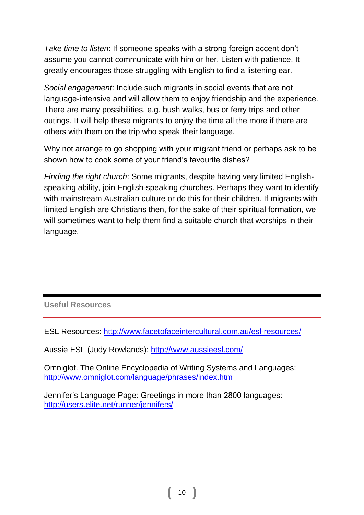*Take time to listen*: If someone speaks with a strong foreign accent don't assume you cannot communicate with him or her. Listen with patience. It greatly encourages those struggling with English to find a listening ear.

*Social engagement*: Include such migrants in social events that are not language-intensive and will allow them to enjoy friendship and the experience. There are many possibilities, e.g. bush walks, bus or ferry trips and other outings. It will help these migrants to enjoy the time all the more if there are others with them on the trip who speak their language.

Why not arrange to go shopping with your migrant friend or perhaps ask to be shown how to cook some of your friend's favourite dishes?

*Finding the right church*: Some migrants, despite having very limited Englishspeaking ability, join English-speaking churches. Perhaps they want to identify with mainstream Australian culture or do this for their children. If migrants with limited English are Christians then, for the sake of their spiritual formation, we will sometimes want to help them find a suitable church that worships in their language.

**Useful Resources**

ESL Resources:<http://www.facetofaceintercultural.com.au/esl-resources/>

Aussie ESL (Judy Rowlands):<http://www.aussieesl.com/>

Omniglot. The Online Encyclopedia of Writing Systems and Languages: <http://www.omniglot.com/language/phrases/index.htm>

Jennifer's Language Page: Greetings in more than 2800 languages: <http://users.elite.net/runner/jennifers/>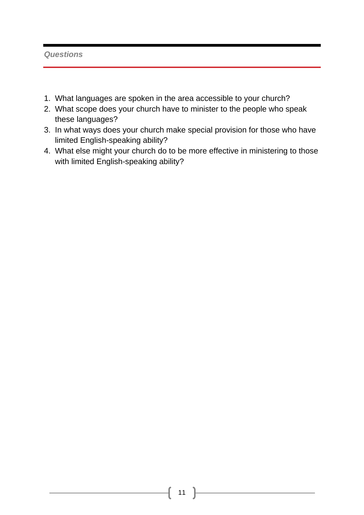#### *Questions*

- 1. What languages are spoken in the area accessible to your church?
- 2. What scope does your church have to minister to the people who speak these languages?
- 3. In what ways does your church make special provision for those who have limited English-speaking ability?
- 4. What else might your church do to be more effective in ministering to those with limited English-speaking ability?